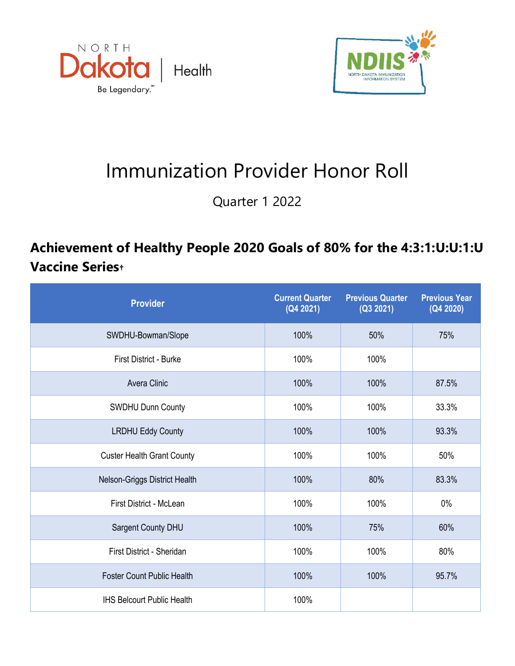



## Immunization Provider Honor Roll

Quarter 1 2022

## **Achievement of Healthy People 2020 Goals of 80% for the 4:3:1:U:U:1:U Vaccine Series†**

| <b>Provider</b>                   | <b>Current Quarter</b><br>(Q4 2021) | <b>Previous Quarter</b><br>(Q3 2021) | <b>Previous Year</b><br>(Q4 2020) |
|-----------------------------------|-------------------------------------|--------------------------------------|-----------------------------------|
| SWDHU-Bowman/Slope                | 100%<br>50%                         |                                      | 75%                               |
| <b>First District - Burke</b>     | 100%<br>100%                        |                                      |                                   |
| Avera Clinic                      | 100%                                | 100%                                 | 87.5%                             |
| <b>SWDHU Dunn County</b>          | 100%                                | 100%                                 | 33.3%                             |
| <b>LRDHU Eddy County</b>          | 100%                                | 100%                                 | 93.3%                             |
| <b>Custer Health Grant County</b> | 100%                                | 100%                                 | 50%                               |
| Nelson-Griggs District Health     | 100%                                | 80%                                  | 83.3%                             |
| First District - McLean           | 100%                                | 100%                                 | $0\%$                             |
| Sargent County DHU                | 100%                                | 75%                                  | 60%                               |
| First District - Sheridan         | 100%                                | 100%                                 | 80%                               |
| <b>Foster Count Public Health</b> | 100%                                | 100%                                 | 95.7%                             |
| <b>IHS Belcourt Public Health</b> | 100%                                |                                      |                                   |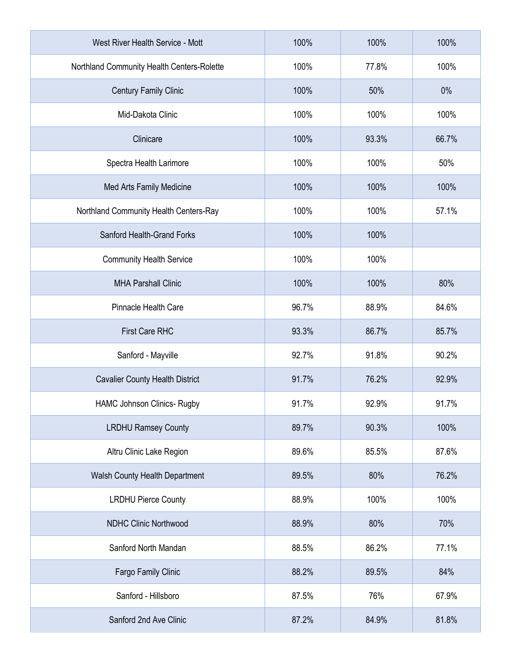| West River Health Service - Mott           | 100%  | 100%  | 100%  |
|--------------------------------------------|-------|-------|-------|
| Northland Community Health Centers-Rolette | 100%  | 77.8% | 100%  |
| <b>Century Family Clinic</b>               | 100%  | 50%   | 0%    |
| Mid-Dakota Clinic                          | 100%  | 100%  | 100%  |
| Clinicare                                  | 100%  | 93.3% | 66.7% |
| Spectra Health Larimore                    | 100%  | 100%  | 50%   |
| Med Arts Family Medicine                   | 100%  | 100%  | 100%  |
| Northland Community Health Centers-Ray     | 100%  | 100%  | 57.1% |
| Sanford Health-Grand Forks                 | 100%  | 100%  |       |
| <b>Community Health Service</b>            | 100%  | 100%  |       |
| <b>MHA Parshall Clinic</b>                 | 100%  | 100%  | 80%   |
| Pinnacle Health Care                       | 96.7% | 88.9% | 84.6% |
| <b>First Care RHC</b>                      | 93.3% | 86.7% | 85.7% |
| Sanford - Mayville                         | 92.7% | 91.8% | 90.2% |
| <b>Cavalier County Health District</b>     | 91.7% | 76.2% | 92.9% |
| HAMC Johnson Clinics- Rugby                | 91.7% | 92.9% | 91.7% |
| <b>LRDHU Ramsey County</b>                 | 89.7% | 90.3% | 100%  |
| Altru Clinic Lake Region                   | 89.6% | 85.5% | 87.6% |
| Walsh County Health Department             | 89.5% | 80%   | 76.2% |
| <b>LRDHU Pierce County</b>                 | 88.9% | 100%  | 100%  |
| <b>NDHC Clinic Northwood</b>               | 88.9% | 80%   | 70%   |
| Sanford North Mandan                       | 88.5% | 86.2% | 77.1% |
| Fargo Family Clinic                        | 88.2% | 89.5% | 84%   |
| Sanford - Hillsboro                        | 87.5% | 76%   | 67.9% |
| Sanford 2nd Ave Clinic                     | 87.2% | 84.9% | 81.8% |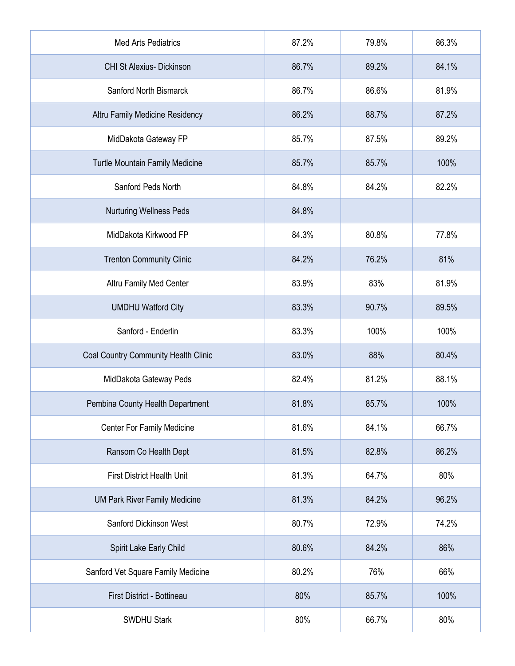| <b>Med Arts Pediatrics</b>           | 87.2% | 79.8% | 86.3% |
|--------------------------------------|-------|-------|-------|
| <b>CHI St Alexius- Dickinson</b>     | 86.7% | 89.2% | 84.1% |
| Sanford North Bismarck               | 86.7% | 86.6% | 81.9% |
| Altru Family Medicine Residency      | 86.2% | 88.7% | 87.2% |
| MidDakota Gateway FP                 | 85.7% | 87.5% | 89.2% |
| Turtle Mountain Family Medicine      | 85.7% | 85.7% | 100%  |
| Sanford Peds North                   | 84.8% | 84.2% | 82.2% |
| <b>Nurturing Wellness Peds</b>       | 84.8% |       |       |
| MidDakota Kirkwood FP                | 84.3% | 80.8% | 77.8% |
| <b>Trenton Community Clinic</b>      | 84.2% | 76.2% | 81%   |
| Altru Family Med Center              | 83.9% | 83%   | 81.9% |
| <b>UMDHU Watford City</b>            | 83.3% | 90.7% | 89.5% |
| Sanford - Enderlin                   | 83.3% | 100%  | 100%  |
| Coal Country Community Health Clinic | 83.0% | 88%   | 80.4% |
| MidDakota Gateway Peds               | 82.4% | 81.2% | 88.1% |
| Pembina County Health Department     | 81.8% | 85.7% | 100%  |
| Center For Family Medicine           | 81.6% | 84.1% | 66.7% |
| Ransom Co Health Dept                | 81.5% | 82.8% | 86.2% |
| <b>First District Health Unit</b>    | 81.3% | 64.7% | 80%   |
| <b>UM Park River Family Medicine</b> | 81.3% | 84.2% | 96.2% |
| Sanford Dickinson West               | 80.7% | 72.9% | 74.2% |
| Spirit Lake Early Child              | 80.6% | 84.2% | 86%   |
| Sanford Vet Square Family Medicine   | 80.2% | 76%   | 66%   |
| First District - Bottineau           | 80%   | 85.7% | 100%  |
| <b>SWDHU Stark</b>                   | 80%   | 66.7% | 80%   |